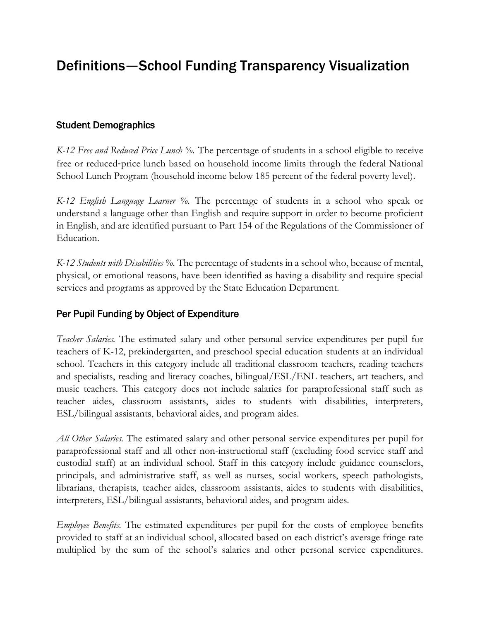## Definitions—School Funding Transparency Visualization

## Student Demographics

*K-12 Free and Reduced Price Lunch %.* The percentage of students in a school eligible to receive free or reduced-price lunch based on household income limits through the federal National School Lunch Program (household income below 185 percent of the federal poverty level).

*K-12 English Language Learner %.* The percentage of students in a school who speak or understand a language other than English and require support in order to become proficient in English, and are identified pursuant to Part 154 of the Regulations of the Commissioner of Education.

*K-12 Students with Disabilities %.* The percentage of students in a school who, because of mental, physical, or emotional reasons, have been identified as having a disability and require special services and programs as approved by the State Education Department.

## Per Pupil Funding by Object of Expenditure

*Teacher Salaries.* The estimated salary and other personal service expenditures per pupil for teachers of K-12, prekindergarten, and preschool special education students at an individual school. Teachers in this category include all traditional classroom teachers, reading teachers and specialists, reading and literacy coaches, bilingual/ESL/ENL teachers, art teachers, and music teachers. This category does not include salaries for paraprofessional staff such as teacher aides, classroom assistants, aides to students with disabilities, interpreters, ESL/bilingual assistants, behavioral aides, and program aides.

*All Other Salaries.* The estimated salary and other personal service expenditures per pupil for paraprofessional staff and all other non-instructional staff (excluding food service staff and custodial staff) at an individual school. Staff in this category include guidance counselors, principals, and administrative staff, as well as nurses, social workers, speech pathologists, librarians, therapists, teacher aides, classroom assistants, aides to students with disabilities, interpreters, ESL/bilingual assistants, behavioral aides, and program aides.

*Employee Benefits.* The estimated expenditures per pupil for the costs of employee benefits provided to staff at an individual school, allocated based on each district's average fringe rate multiplied by the sum of the school's salaries and other personal service expenditures.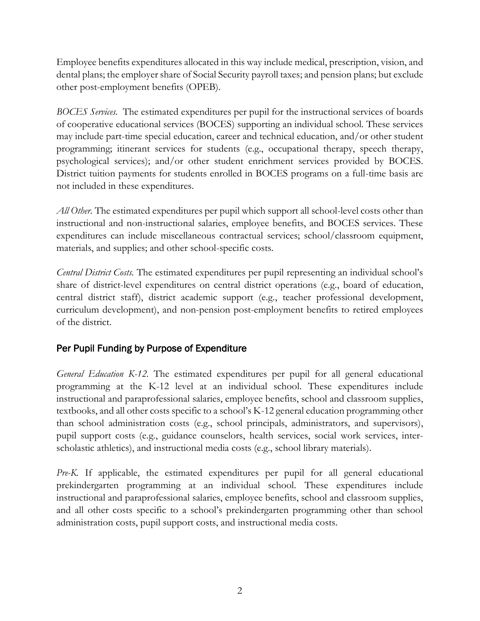Employee benefits expenditures allocated in this way include medical, prescription, vision, and dental plans; the employer share of Social Security payroll taxes; and pension plans; but exclude other post-employment benefits (OPEB).

*BOCES Services.* The estimated expenditures per pupil for the instructional services of boards of cooperative educational services (BOCES) supporting an individual school. These services may include part-time special education, career and technical education, and/or other student programming; itinerant services for students (e.g., occupational therapy, speech therapy, psychological services); and/or other student enrichment services provided by BOCES. District tuition payments for students enrolled in BOCES programs on a full-time basis are not included in these expenditures.

*All Other.* The estimated expenditures per pupil which support all school-level costs other than instructional and non-instructional salaries, employee benefits, and BOCES services. These expenditures can include miscellaneous contractual services; school/classroom equipment, materials, and supplies; and other school-specific costs.

*Central District Costs.* The estimated expenditures per pupil representing an individual school's share of district-level expenditures on central district operations (e.g., board of education, central district staff), district academic support (e.g., teacher professional development, curriculum development), and non-pension post-employment benefits to retired employees of the district.

## Per Pupil Funding by Purpose of Expenditure

*General Education K-12.* The estimated expenditures per pupil for all general educational programming at the K-12 level at an individual school. These expenditures include instructional and paraprofessional salaries, employee benefits, school and classroom supplies, textbooks, and all other costs specific to a school's K-12 general education programming other than school administration costs (e.g., school principals, administrators, and supervisors), pupil support costs (e.g., guidance counselors, health services, social work services, interscholastic athletics), and instructional media costs (e.g., school library materials).

*Pre-K.* If applicable, the estimated expenditures per pupil for all general educational prekindergarten programming at an individual school. These expenditures include instructional and paraprofessional salaries, employee benefits, school and classroom supplies, and all other costs specific to a school's prekindergarten programming other than school administration costs, pupil support costs, and instructional media costs.